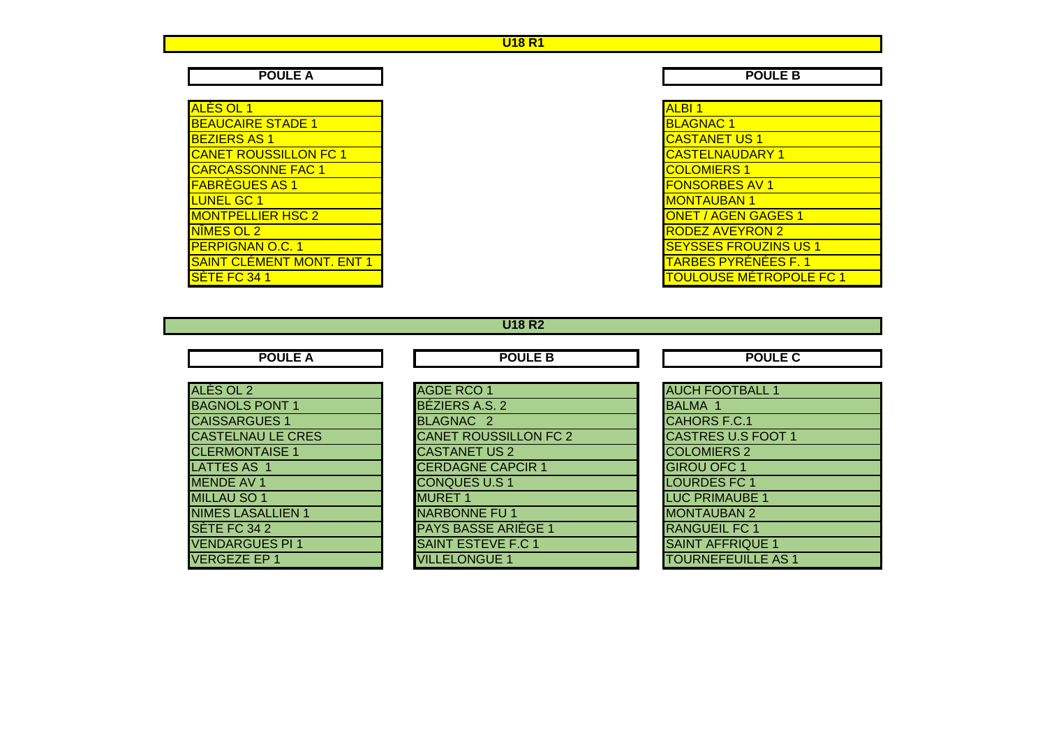#### **U18 R1**

**POULE A**

| <b>ALBI1</b>           |  |
|------------------------|--|
| <b>BLAGNAC1</b>        |  |
| <b>CASTANET US 1</b>   |  |
| <b>CASTELNAUDARY 1</b> |  |
| <b>COLOMIERS 1</b>     |  |
| <b>FONSORBES AV 1</b>  |  |
| <b>MONTAUBAN 1</b>     |  |
| ONET / AGEN GAGE       |  |
| <b>RODEZ AVEYRON 2</b> |  |
| <b>SEYSSES FROUZIN</b> |  |
| <u>TARBES PYRÉNÉES</u> |  |
| <u>TOULOUSE MÉTRO</u>  |  |
|                        |  |

**A** POULE B

|                         | <b>ALBI1</b>                   |
|-------------------------|--------------------------------|
| <b>STADE 1</b>          | <b>BLAGNAC1</b>                |
|                         | <b>CASTANET US 1</b>           |
| <b>SSILLON FC 1</b>     | <b>CASTELNAUDARY 1</b>         |
| <b>NNE FAC 1</b>        | <b>COLOMIERS 1</b>             |
| $\frac{2}{3}$ AS 1      | <b>FONSORBES AV 1</b>          |
|                         | <b>MONTAUBAN 1</b>             |
| ER HSC 2                | <b>ONET / AGEN GAGES 1</b>     |
|                         | <b>RODEZ AVEYRON 2</b>         |
| O.C. 1                  | <b>SEYSSES FROUZINS US 1</b>   |
| <u>IENT MONT. ENT 1</u> | <b>TARBES PYRÉNÉES F. 1</b>    |
|                         | <u>TOULOUSE MÉTROPOLE FC 1</u> |

**U18 R2**

**POULE A**

**A POULE B POULE B POULE C** 

| ALÈS OL 2                | <b>AGDE RCO 1</b>            | <b>AUCH FOOTBALL 1</b>    |
|--------------------------|------------------------------|---------------------------|
| <b>BAGNOLS PONT 1</b>    | BÉZIERS A.S. 2               | <b>BALMA 1</b>            |
| <b>CAISSARGUES 1</b>     | BLAGNAC <sub>2</sub>         | CAHORS F.C.1              |
| <b>CASTELNAU LE CRES</b> | <b>CANET ROUSSILLON FC 2</b> | <b>CASTRES U.S FOOT 1</b> |
| <b>CLERMONTAISE 1</b>    | <b>CASTANET US 2</b>         | <b>COLOMIERS 2</b>        |
| LATTES AS 1              | <b>CERDAGNE CAPCIR 1</b>     | <b>GIROU OFC 1</b>        |
| <b>MENDE AV 1</b>        | <b>CONQUES U.S 1</b>         | <b>LOURDES FC 1</b>       |
| <b>MILLAU SO 1</b>       | <b>MURET 1</b>               | <b>LUC PRIMAUBE 1</b>     |
| <b>NIMES LASALLIEN 1</b> | <b>NARBONNE FU1</b>          | <b>MONTAUBAN 2</b>        |
| <b>SÈTE FC 34 2</b>      | <b>PAYS BASSE ARIEGE 1</b>   | <b>RANGUEIL FC 1</b>      |
| <b>VENDARGUES PI 1</b>   | <b>SAINT ESTEVE F.C 1</b>    | <b>SAINT AFFRIQUE 1</b>   |
| VERGEZE EP 1             | <b>VILLELONGUE 1</b>         | TOURNEFEUILLE AS 1        |
|                          |                              |                           |

|                          | <b>AGDE RCO 1</b>            | <b>AUCH FOOTBALL 1</b>    |
|--------------------------|------------------------------|---------------------------|
| NT <sub>1</sub>          | BÉZIERS A.S. 2               | <b>BALMA 1</b>            |
| $\overline{\mathsf{S}1}$ | BLAGNAC <sub>2</sub>         | CAHORS F.C.1              |
| <b>E CRES</b>            | <b>CANET ROUSSILLON FC 2</b> | <b>CASTRES U.S FOOT 1</b> |
| $\overline{\text{SE 1}}$ | <b>CASTANET US 2</b>         | <b>COLOMIERS 2</b>        |
|                          | <b>CERDAGNE CAPCIR 1</b>     | <b>GIROU OFC 1</b>        |
|                          | <b>CONQUES U.S 1</b>         | <b>LOURDES FC 1</b>       |
|                          | <b>MURET 1</b>               | <b>LUC PRIMAUBE 1</b>     |
| LIEN 1                   | <b>NARBONNE FU 1</b>         | <b>MONTAUBAN 2</b>        |
|                          | <b>PAYS BASSE ARIÈGE 1</b>   | <b>RANGUEIL FC 1</b>      |
| SPI <sub>1</sub>         | <b>SAINT ESTEVE F.C 1</b>    | <b>SAINT AFFRIQUE 1</b>   |
|                          | <b>VILLELONGUE 1</b>         | <b>TOURNEFEUILLE AS 1</b> |
|                          |                              |                           |

| <b>AUCH FOOTBALL 1</b>    |
|---------------------------|
| <b>BALMA 1</b>            |
| <b>CAHORS F.C.1</b>       |
| <b>CASTRES U.S FOOT 1</b> |
| <b>COLOMIERS 2</b>        |
| <b>GIROU OFC 1</b>        |
| <b>LOURDES FC 1</b>       |
| <b>LUC PRIMAUBE 1</b>     |
| <b>MONTAUBAN 2</b>        |
| <b>RANGUEIL FC 1</b>      |
| <b>SAINT AFFRIQUE 1</b>   |
| <b>TOURNEFEUILLE AS 1</b> |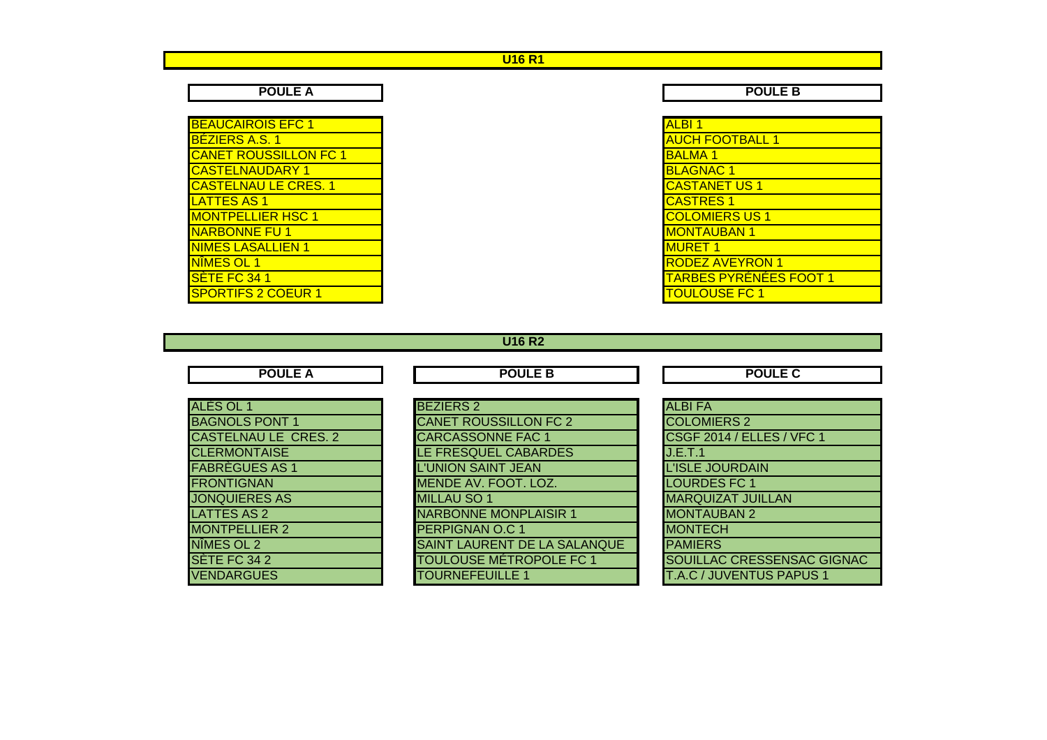### **U16 R1**

| <b>BEAUCAIROIS EFC 1</b>     | <b>ALBI1</b>           |
|------------------------------|------------------------|
| <b>BÉZIERS A.S. 1</b>        | <b>AUCH FOOTBALL 1</b> |
| <b>CANET ROUSSILLON FC 1</b> | <b>BALMA1</b>          |
| <u>ICASTELNAUDARY 1</u>      | <b>BLAGNAC1</b>        |
| <b>CASTELNAU LE CRES. 1</b>  | <b>CASTANET US 1</b>   |
| <b>LATTES AS 1</b>           | <b>CASTRES 1</b>       |
| <b>MONTPELLIER HSC 1</b>     | <b>COLOMIERS US 1</b>  |
| <b>NARBONNE FU 1</b>         | <b>MONTAUBAN 1</b>     |
| <b>NIMES LASALLIEN 1</b>     | <b>MURET 1</b>         |
| NÎMES OL 1                   | <b>RODEZ AVEYRON 1</b> |
| SETE FC 341                  | <b>TARBES PYRENÉES</b> |
| <b>SPORTIFS 2 COEUR 1</b>    | <b>TOULOUSE FC 1</b>   |

**A** POULE B

| IS EFC 1            | <b>ALBI1</b>                  |
|---------------------|-------------------------------|
|                     | <b>AUCH FOOTBALL 1</b>        |
| <b>SSILLON FC 1</b> | <b>BALMA1</b>                 |
| DARY 1              | <b>BLAGNAC1</b>               |
| LE CRES. 1          | <b>CASTANET US 1</b>          |
|                     | <b>CASTRES 1</b>              |
| ER HSC 1            | <b>COLOMIERS US 1</b>         |
| FU <sub>1</sub>     | <b>MONTAUBAN 1</b>            |
| LLIEN 1             | <b>IMURET 1</b>               |
|                     | <b>RODEZ AVEYRON 1</b>        |
|                     | <b>TARBES PYRÉNÉES FOOT 1</b> |
| <b>COEUR1</b>       | <b>TOULOUSE FC 1</b>          |
|                     |                               |

|  |  |  | U16 R2 |  |
|--|--|--|--------|--|
|--|--|--|--------|--|

| <b>POULE A</b>              | <b>POULE B</b>                 | <b>POULE C</b>                  |
|-----------------------------|--------------------------------|---------------------------------|
| <b>ALES OL 1</b>            | <b>BEZIERS 2</b>               | <b>ALBIFA</b>                   |
| <b>BAGNOLS PONT 1</b>       | <b>CANET ROUSSILLON FC 2</b>   | <b>COLOMIERS 2</b>              |
| <b>CASTELNAU LE CRES. 2</b> | <b>CARCASSONNE FAC 1</b>       | CSGF 2014 / ELLES / VFC 1       |
| <b>CLERMONTAISE</b>         | LE FRESQUEL CABARDES           | J.E.T.1                         |
| <b>FABREGUES AS 1</b>       | L'UNION SAINT JEAN             | <b>L'ISLE JOURDAIN</b>          |
| <b>FRONTIGNAN</b>           | MENDE AV. FOOT. LOZ.           | <b>LOURDES FC 1</b>             |
| <b>JONQUIERES AS</b>        | <b>MILLAU SO 1</b>             | <b>MARQUIZAT JUILLAN</b>        |
| <b>LATTES AS 2</b>          | <b>NARBONNE MONPLAISIR 1</b>   | <b>MONTAUBAN 2</b>              |
| <b>MONTPELLIER 2</b>        | <b>PERPIGNAN O.C 1</b>         | <b>MONTECH</b>                  |
| NIMES OL 2                  | SAINT LAURENT DE LA SALANQUE   | <b>PAMIERS</b>                  |
| SETE FC 34 2                | <b>TOULOUSE MÉTROPOLE FC 1</b> | SOUILLAC CRESSENSAC GIGNAC      |
| <b>VENDARGUES</b>           | <b>TOURNEFEUILLE 1</b>         | <b>T.A.C / JUVENTUS PAPUS 1</b> |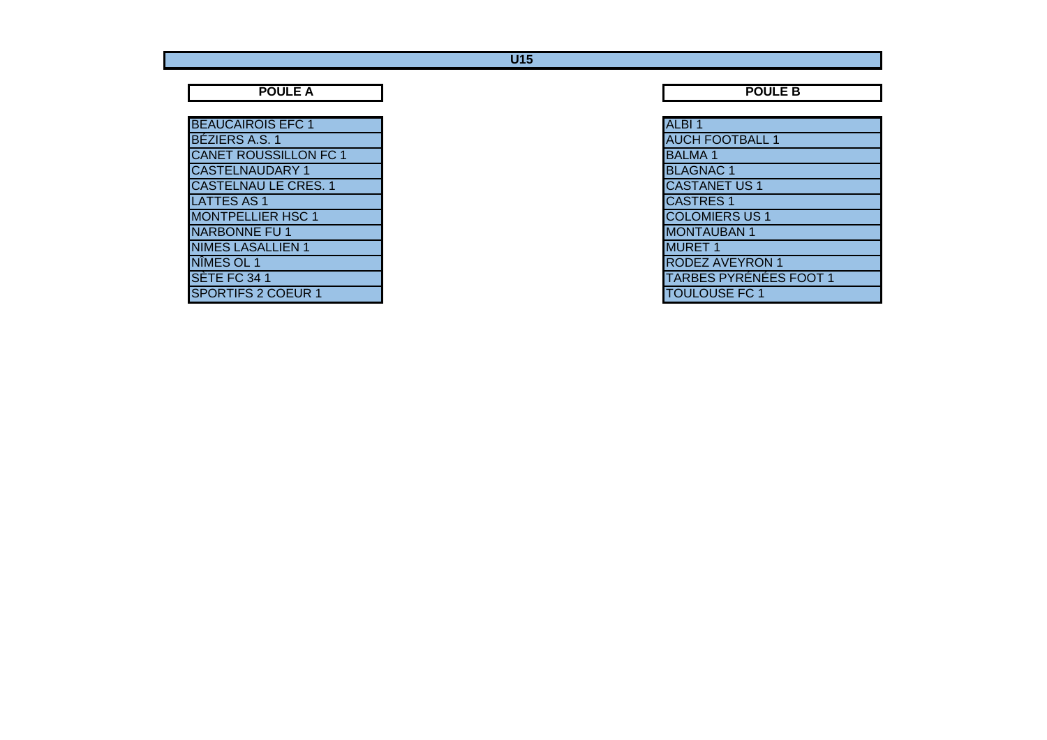#### **U15**

**POULE A**

| <b>BEAUCAIROIS EFC 1</b>     | ALBI <sub>1</sub>      |
|------------------------------|------------------------|
| BÉZIERS A.S. 1               | <b>AUCH FOOTBALL 1</b> |
| <b>CANET ROUSSILLON FC 1</b> | <b>BALMA1</b>          |
| <b>CASTELNAUDARY 1</b>       | <b>BLAGNAC1</b>        |
| <b>CASTELNAU LE CRES. 1</b>  | <b>CASTANET US 1</b>   |
| <b>LATTES AS 1</b>           | <b>CASTRES 1</b>       |
| <b>MONTPELLIER HSC 1</b>     | <b>COLOMIERS US 1</b>  |
| NARBONNE FU 1                | <b>MONTAUBAN 1</b>     |
| <b>NIMES LASALLIEN 1</b>     | <b>MURET 1</b>         |
| NIMES OL 1                   | <b>RODEZ AVEYRON 1</b> |
| SETE FC 34 1                 | TARBES PYRÉNÉES        |
| <b>SPORTIFS 2 COEUR 1</b>    | <b>TOULOUSE FC 1</b>   |

**A** POULE B

| <b>IS EFC 1</b>     | ALBI <sub>1</sub>             |
|---------------------|-------------------------------|
|                     | <b>AUCH FOOTBALL 1</b>        |
| <b>SSILLON FC 1</b> | <b>BALMA1</b>                 |
| DARY 1              | <b>BLAGNAC1</b>               |
| LE CRES. 1          | <b>CASTANET US1</b>           |
|                     | <b>CASTRES 1</b>              |
| ER HSC 1            | <b>COLOMIERS US 1</b>         |
| $\overline{FU}$ 1   | <b>MONTAUBAN1</b>             |
| LLIEN 1             | <b>MURET 1</b>                |
|                     | <b>RODEZ AVEYRON 1</b>        |
|                     | <b>TARBES PYRÉNÉES FOOT 1</b> |
| <b>COEUR1</b>       | <b>TOULOUSE FC 1</b>          |
|                     |                               |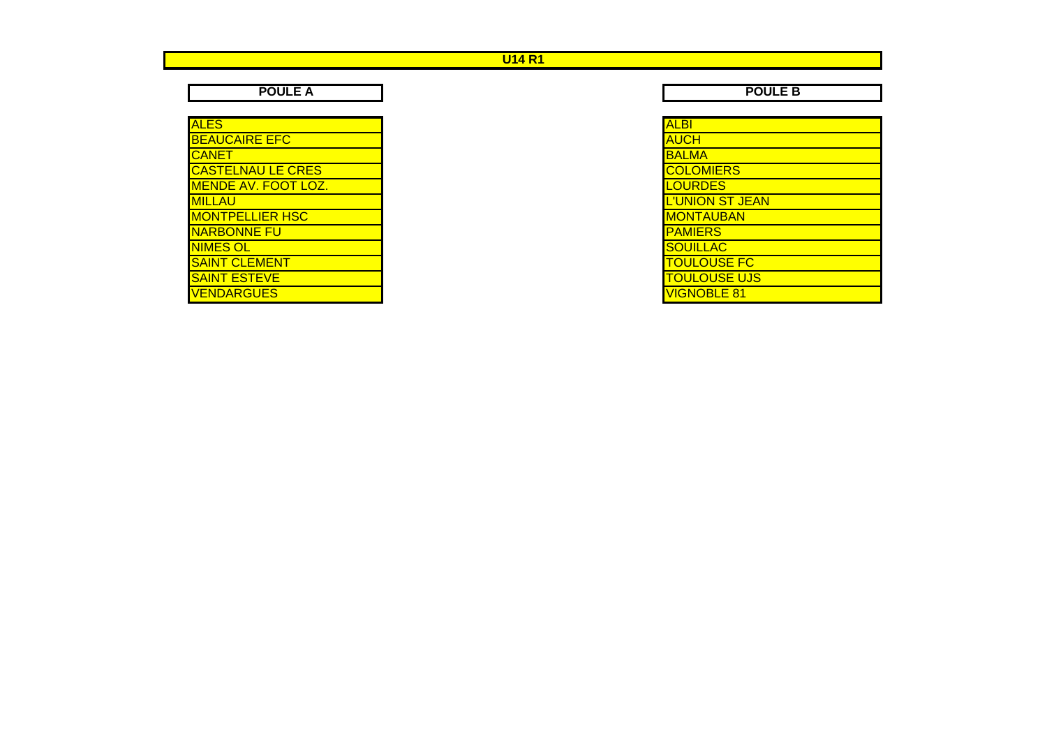## **U14 R1**

**POULE A** 

| ALES                       |  |
|----------------------------|--|
| <b>BEAUCAIRE EFC</b>       |  |
| CANET                      |  |
| <b>CASTELNAU LE CRES</b>   |  |
| <b>MENDE AV. FOOT LOZ.</b> |  |
| <b>MILLAU</b>              |  |
| <b>MONTPELLIER HSC</b>     |  |
| <b>NARBONNE FU</b>         |  |
| <b>NIMES OL</b>            |  |
| <b>SAINT CLEMENT</b>       |  |
| <b>SAINT ESTEVE</b>        |  |
| <b>ENDARGUES</b>           |  |

**POULE B** 

| AI BI                  |
|------------------------|
| ALIC.H                 |
| BALMA                  |
| <b>COLOMIERS</b>       |
| <b>JURDES</b>          |
| <b>L'UNION ST JEAN</b> |
| <u>MONTAUBAN</u>       |
| PAMIERS                |
| <b>OUILLAC</b>         |
| <u>OULOUSE FC</u>      |
| <b>OULOUSE UJS</b>     |
| <b>GNOBLE 81</b>       |